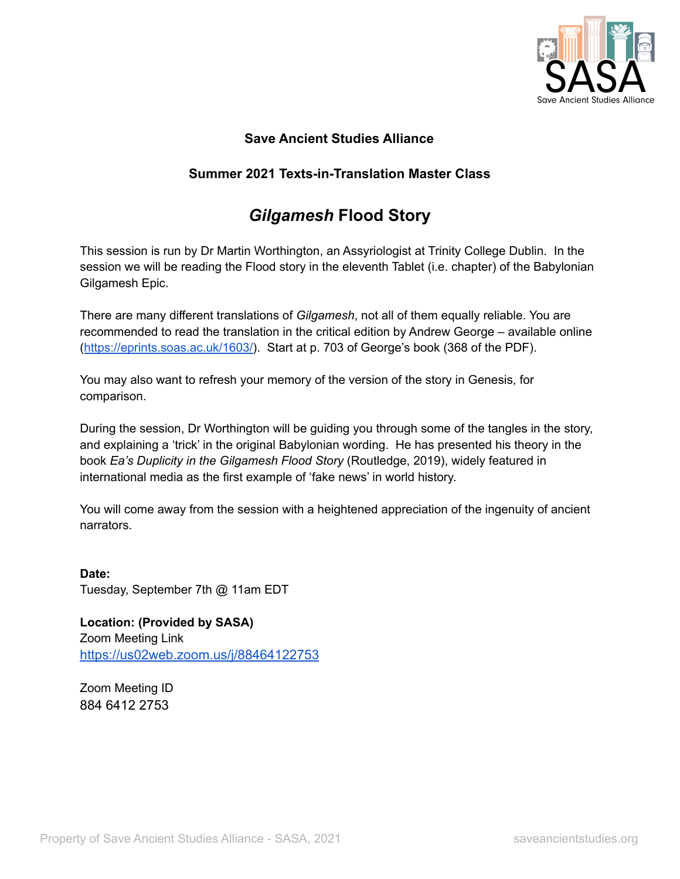

## **Save Ancient Studies Alliance**

## **Summer 2021 Texts-in-Translation Master Class**

## *Gilgamesh* **Flood Story**

This session is run by Dr Martin Worthington, an Assyriologist at Trinity College Dublin. In the session we will be reading the Flood story in the eleventh Tablet (i.e. chapter) of the Babylonian Gilgamesh Epic.

There are many different translations of *Gilgamesh*, not all of them equally reliable. You are recommended to read the translation in the critical edition by Andrew George – available online ([https://eprints.soas.ac.uk/1603/\)](https://eprints.soas.ac.uk/1603/). Start at p. 703 of George's book (368 of the PDF).

You may also want to refresh your memory of the version of the story in Genesis, for comparison.

During the session, Dr Worthington will be guiding you through some of the tangles in the story, and explaining a 'trick' in the original Babylonian wording. He has presented his theory in the book *Ea's Duplicity in the Gilgamesh Flood Story* (Routledge, 2019), widely featured in international media as the first example of 'fake news' in world history.

You will come away from the session with a heightened appreciation of the ingenuity of ancient narrators.

**Date:** Tuesday, September 7th @ 11am EDT

**Location: (Provided by SASA)** Zoom Meeting Link <https://us02web.zoom.us/j/88464122753>

Zoom Meeting ID 884 6412 2753